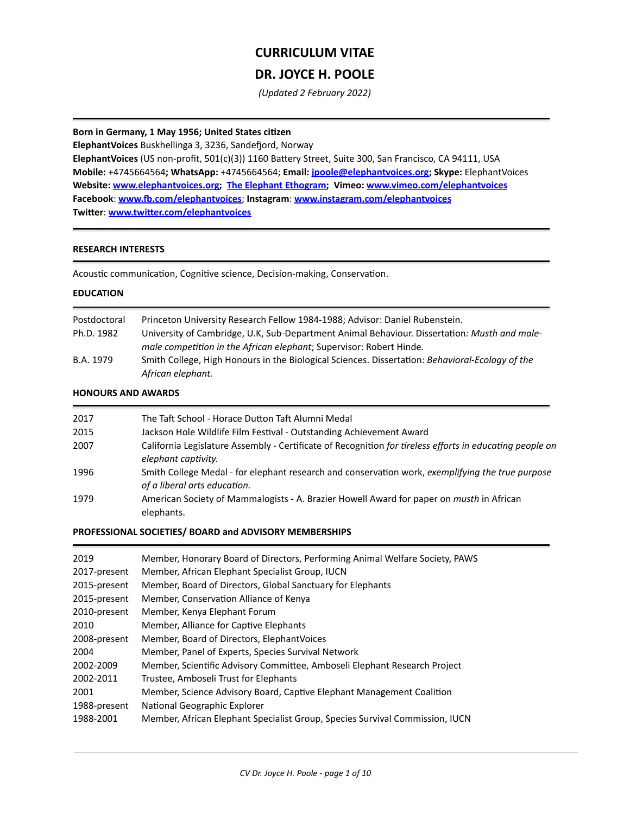# **CURRICULUM VITAE** DR. JOYCE H. POOLE

*(Updated 2 February 2022)*

Born in Germany, 1 May 1956; United States citizen

**ElephantVoices** Buskhellinga 3, 3236, Sandefjord, Norway

**ElephantVoices** (US non-profit,  $501(c)(3)$ ) 1160 Battery Street, Suite 300, San Francisco, CA 94111, USA **Mobile:** +4745664564**; WhatsApp:** +4745664564; **Email: [jpoole@elephantvoices.org](mailto:jpoole@elephantvoices.org); Skype:** ElephantVoices **Website:** [www.elephantvoices.org](https://www.elephantvoices.org); The Elephant Ethogram; Vimeo: www.vimeo.com/elephantvoices **Facebook**: **[www.fb.com/elephantvoices](https://www.fb.com/ElephantVoices)**; **Instagram**: **[www.instagram.com/elephantvoices](http://www.instagram.com/elephantvoices) Twitter**: **[www.twitter.com/elephantvoices](https://www.twitter.com/elephantvoices)**

# **RESEARCH INTERESTS**

Acoustic communication, Cognitive science, Decision-making, Conservation.

# **EDUCATION**

| Postdoctoral | Princeton University Research Fellow 1984-1988; Advisor: Daniel Rubenstein.                     |
|--------------|-------------------------------------------------------------------------------------------------|
| Ph.D. 1982   | University of Cambridge, U.K. Sub-Department Animal Behaviour. Dissertation: Musth and male-    |
|              | male competition in the African elephant; Supervisor: Robert Hinde.                             |
| B.A. 1979    | Smith College, High Honours in the Biological Sciences. Dissertation: Behavioral-Ecology of the |
|              | African elephant.                                                                               |

# **HONOURS AND AWARDS**

| The Taft School - Horace Dutton Taft Alumni Medal                                                                                |
|----------------------------------------------------------------------------------------------------------------------------------|
| Jackson Hole Wildlife Film Festival - Outstanding Achievement Award                                                              |
| California Legislature Assembly - Certificate of Recognition for tireless efforts in educating people on<br>elephant captivity.  |
| Smith College Medal - for elephant research and conservation work, exemplifying the true purpose<br>of a liberal arts education. |
| American Society of Mammalogists - A. Brazier Howell Award for paper on <i>musth</i> in African<br>elephants.                    |
|                                                                                                                                  |

PROFESSIONAL SOCIETIES/ BOARD and ADVISORY MEMBERSHIPS

| 2019<br>2017-present<br>2015-present<br>2015-present | Member, Honorary Board of Directors, Performing Animal Welfare Society, PAWS<br>Member, African Elephant Specialist Group, IUCN<br>Member, Board of Directors, Global Sanctuary for Elephants<br>Member, Conservation Alliance of Kenya |
|------------------------------------------------------|-----------------------------------------------------------------------------------------------------------------------------------------------------------------------------------------------------------------------------------------|
| 2010-present                                         | Member, Kenya Elephant Forum                                                                                                                                                                                                            |
| 2010                                                 | Member, Alliance for Captive Elephants                                                                                                                                                                                                  |
| 2008-present                                         | Member, Board of Directors, ElephantVoices                                                                                                                                                                                              |
| 2004                                                 | Member, Panel of Experts, Species Survival Network                                                                                                                                                                                      |
| 2002-2009                                            | Member, Scientific Advisory Committee, Amboseli Elephant Research Project                                                                                                                                                               |
| 2002-2011                                            | Trustee, Amboseli Trust for Elephants                                                                                                                                                                                                   |
| 2001                                                 | Member, Science Advisory Board, Captive Elephant Management Coalition                                                                                                                                                                   |
| 1988-present                                         | National Geographic Explorer                                                                                                                                                                                                            |
| 1988-2001                                            | Member, African Elephant Specialist Group, Species Survival Commission, IUCN                                                                                                                                                            |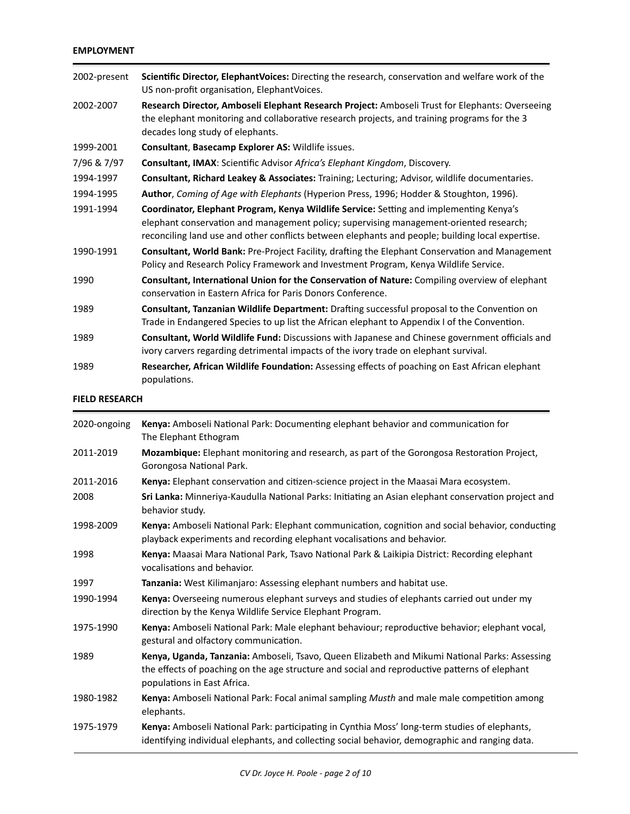# **EMPLOYMENT**

| 2002-present | Scientific Director, ElephantVoices: Directing the research, conservation and welfare work of the<br>US non-profit organisation, ElephantVoices.                                                                                                                                      |
|--------------|---------------------------------------------------------------------------------------------------------------------------------------------------------------------------------------------------------------------------------------------------------------------------------------|
| 2002-2007    | Research Director, Amboseli Elephant Research Project: Amboseli Trust for Elephants: Overseeing<br>the elephant monitoring and collaborative research projects, and training programs for the 3<br>decades long study of elephants.                                                   |
| 1999-2001    | Consultant, Basecamp Explorer AS: Wildlife issues.                                                                                                                                                                                                                                    |
| 7/96 & 7/97  | Consultant, IMAX: Scientific Advisor Africa's Elephant Kingdom, Discovery.                                                                                                                                                                                                            |
| 1994-1997    | Consultant, Richard Leakey & Associates: Training; Lecturing; Advisor, wildlife documentaries.                                                                                                                                                                                        |
| 1994-1995    | Author, Coming of Age with Elephants (Hyperion Press, 1996; Hodder & Stoughton, 1996).                                                                                                                                                                                                |
| 1991-1994    | Coordinator, Elephant Program, Kenya Wildlife Service: Setting and implementing Kenya's<br>elephant conservation and management policy; supervising management-oriented research;<br>reconciling land use and other conflicts between elephants and people; building local expertise. |
| 1990-1991    | Consultant, World Bank: Pre-Project Facility, drafting the Elephant Conservation and Management<br>Policy and Research Policy Framework and Investment Program, Kenya Wildlife Service.                                                                                               |
| 1990         | Consultant, International Union for the Conservation of Nature: Compiling overview of elephant<br>conservation in Eastern Africa for Paris Donors Conference.                                                                                                                         |
| 1989         | Consultant, Tanzanian Wildlife Department: Drafting successful proposal to the Convention on<br>Trade in Endangered Species to up list the African elephant to Appendix I of the Convention.                                                                                          |
| 1989         | Consultant, World Wildlife Fund: Discussions with Japanese and Chinese government officials and<br>ivory carvers regarding detrimental impacts of the ivory trade on elephant survival.                                                                                               |
| 1989         | Researcher, African Wildlife Foundation: Assessing effects of poaching on East African elephant<br>populations.                                                                                                                                                                       |

#### **FIELD RESEARCH**

| 2020-ongoing | Kenya: Amboseli National Park: Documenting elephant behavior and communication for<br>The Elephant Ethogram                                                                                                                    |
|--------------|--------------------------------------------------------------------------------------------------------------------------------------------------------------------------------------------------------------------------------|
| 2011-2019    | Mozambique: Elephant monitoring and research, as part of the Gorongosa Restoration Project,<br>Gorongosa National Park.                                                                                                        |
| 2011-2016    | Kenya: Elephant conservation and citizen-science project in the Maasai Mara ecosystem.                                                                                                                                         |
| 2008         | Sri Lanka: Minneriya-Kaudulla National Parks: Initiating an Asian elephant conservation project and<br>behavior study.                                                                                                         |
| 1998-2009    | Kenya: Amboseli National Park: Elephant communication, cognition and social behavior, conducting<br>playback experiments and recording elephant vocalisations and behavior.                                                    |
| 1998         | Kenya: Maasai Mara National Park, Tsavo National Park & Laikipia District: Recording elephant<br>vocalisations and behavior.                                                                                                   |
| 1997         | Tanzania: West Kilimanjaro: Assessing elephant numbers and habitat use.                                                                                                                                                        |
| 1990-1994    | Kenya: Overseeing numerous elephant surveys and studies of elephants carried out under my<br>direction by the Kenya Wildlife Service Elephant Program.                                                                         |
| 1975-1990    | Kenya: Amboseli National Park: Male elephant behaviour; reproductive behavior; elephant vocal,<br>gestural and olfactory communication.                                                                                        |
| 1989         | Kenya, Uganda, Tanzania: Amboseli, Tsavo, Queen Elizabeth and Mikumi National Parks: Assessing<br>the effects of poaching on the age structure and social and reproductive patterns of elephant<br>populations in East Africa. |
| 1980-1982    | Kenya: Amboseli National Park: Focal animal sampling Musth and male male competition among<br>elephants.                                                                                                                       |
| 1975-1979    | Kenya: Amboseli National Park: participating in Cynthia Moss' long-term studies of elephants,<br>identifying individual elephants, and collecting social behavior, demographic and ranging data.                               |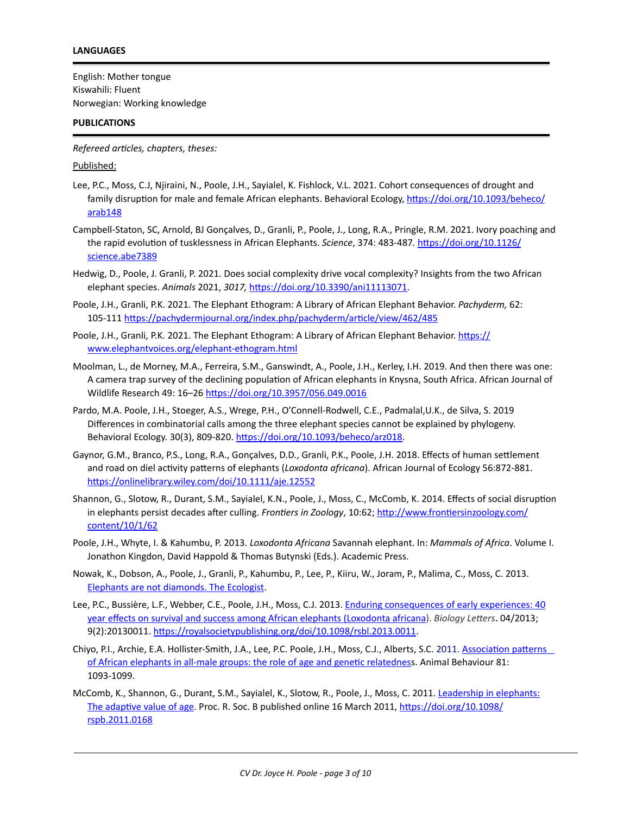English: Mother tongue Kiswahili: Fluent Norwegian: Working knowledge

#### **PUBLICATIONS**

*Refereed articles, chapters, theses:*

Published:

- Lee, P.C., Moss, C.J, Njiraini, N., Poole, J.H., Sayialel, K. Fishlock, V.L. 2021. Cohort consequences of drought and family disruption for male and female African elephants. Behavioral Ecology, https://doi.org/10.1093/beheco/ [arab148](https://doi.org/10.1093/beheco/arab148)
- Campbell-Staton, SC, Arnold, BJ Gonçalves, D., Granli, P., Poole, J., Long, R.A., Pringle, R.M. 2021. Ivory poaching and the rapid evolution of tusklessness in African Elephants. Science, 374: 483-487. [https://doi.org/10.1126/](https://doi.org/10.1126/science.abe7389) [science.abe7389](https://doi.org/10.1126/science.abe7389)
- Hedwig, D., Poole, J. Granli, P. 2021. Does social complexity drive vocal complexity? Insights from the two African elephant species. *Animals* 2021, *3017,* [https://doi.org/10.3390/ani11113071.](https://doi.org/10.3390/ani11113071)
- Poole, J.H., Granli, P.K. 2021. The Elephant Ethogram: A Library of African Elephant Behavior. *Pachyderm,* 62: 105-111 <https://pachydermjournal.org/index.php/pachyderm/article/view/462/485>
- Poole, J.H., Granli, P.K. 2021. The Elephant Ethogram: A Library of African Elephant Behavior. [https://](https://www.elephantvoices.org/elephant-ethogram.html) [www.elephantvoices.org/elephant-ethogram.html](https://www.elephantvoices.org/elephant-ethogram.html)
- Moolman, L., de Morney, M.A., Ferreira, S.M., Ganswindt, A., Poole, J.H., Kerley, I.H. 2019. And then there was one: A camera trap survey of the declining population of African elephants in Knysna, South Africa. African Journal of Wildlife Research 49: 16-26 <https://doi.org/10.3957/056.049.0016>
- Pardo, M.A. Poole, J.H., Stoeger, A.S., Wrege, P.H., O'Connell-Rodwell, C.E., Padmalal, U.K., de Silva, S. 2019 Differences in combinatorial calls among the three elephant species cannot be explained by phylogeny. Behavioral Ecology. 30(3), 809-820. https://doi.org/10.1093/beheco/arz018.
- Gaynor, G.M., Branco, P.S., Long, R.A., Gonçalves, D.D., Granli, P.K., Poole, J.H. 2018. Effects of human settlement and road on diel activity patterns of elephants (Loxodonta africana). African Journal of Ecology 56:872-881. <https://onlinelibrary.wiley.com/doi/10.1111/aje.12552>
- Shannon, G., Slotow, R., Durant, S.M., Sayialel, K.N., Poole, J., Moss, C., McComb, K. 2014. Effects of social disruption in elephants persist decades after culling. *Frontiers in Zoology*, 10:62; [http://www.frontiersinzoology.com/](http://www.frontiersinzoology.com/content/10/1/62) [content/10/1/62](http://www.frontiersinzoology.com/content/10/1/62)
- Poole, J.H., Whyte, I. & Kahumbu, P. 2013. *Loxodonta Africana* Savannah elephant. In: *Mammals of Africa*. Volume I. Jonathon Kingdon, David Happold & Thomas Butynski (Eds.). Academic Press.
- Nowak, K., Dobson, A., Poole, J., Granli, P., Kahumbu, P., Lee, P., Kiiru, W., Joram, P., Malima, C., Moss, C. 2013. Elephants are not diamonds. The Ecologist.
- Lee, P.C., Bussière, L.F., Webber, C.E., Poole, J.H., Moss, C.J. 2013. Enduring consequences of early experiences: 40 year effects on survival and success among African elephants (Loxodonta africana). *Biology Letters***.** 04/2013; 9(2):20130011. https://royalsocietypublishing.org/doi/10.1098/rsbl.2013.0011.
- Chiyo, P.I., Archie, E.A. Hollister-Smith, J.A., Lee, P.C. Poole, J.H., Moss, C.J., Alberts, S.C. 2011. Association patterns of African elephants in all-male groups: the role of age and genetic relatedness. Animal Behaviour 81: 1093-1099.
- McComb, K., Shannon, G., Durant, S.M., Sayialel, K., Slotow, R., Poole, J., Moss, C. 2011. Leadership in elephants: The adaptive value of age. Proc. R. Soc. B published online 16 March 2011, https://doi.org/10.1098/ [rspb.2011.0168](https://doi.org/10.1098/rspb.2011.0168)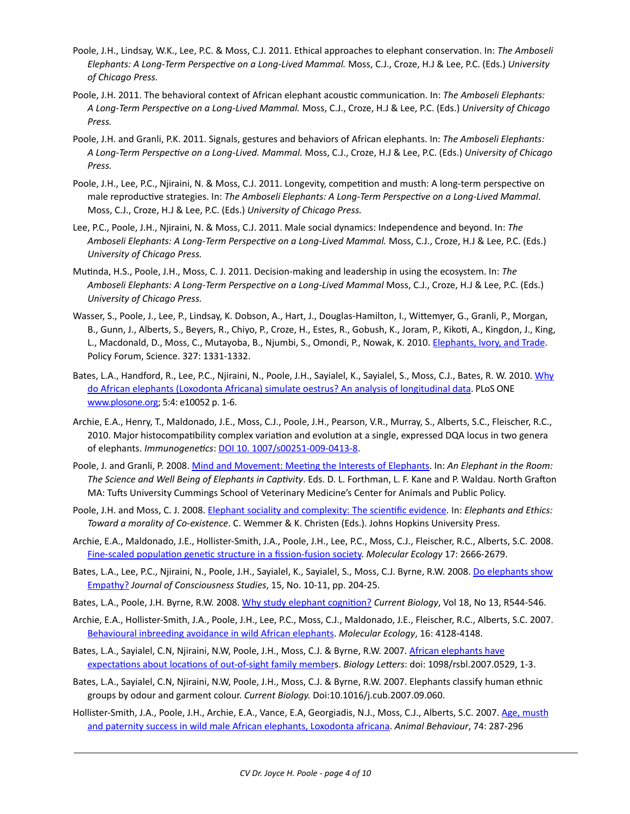- Poole, J.H., Lindsay, W.K., Lee, P.C. & Moss, C.J. 2011. Ethical approaches to elephant conservation. In: The Amboseli *Elephants: A Long-Term Perspective on a Long-Lived Mammal.* Moss, C.J., Croze, H.J & Lee, P.C. (Eds.) *University of Chicago Press.*
- Poole, J.H. 2011. The behavioral context of African elephant acoustic communication. In: The Amboseli Elephants: *A Long-Term Perspective on a Long-Lived Mammal.* Moss, C.J., Croze, H.J & Lee, P.C. (Eds.) *University of Chicago Press.*
- Poole, J.H. and Granli, P.K. 2011. Signals, gestures and behaviors of African elephants. In: The Amboseli Elephants: *A Long-Term Perspective on a Long-Lived. Mammal.* Moss, C.J., Croze, H.J & Lee, P.C. (Eds.) *University of Chicago Press.*
- Poole, J.H., Lee, P.C., Njiraini, N. & Moss, C.J. 2011. Longevity, competition and musth: A long-term perspective on male reproductive strategies. In: The Amboseli Elephants: A Long-Term Perspective on a Long-Lived Mammal. Moss, C.J., Croze, H.J & Lee, P.C. (Eds.) University of Chicago Press.
- Lee, P.C., Poole, J.H., Njiraini, N. & Moss, C.J. 2011. Male social dynamics: Independence and beyond. In: The *Amboseli Elephants: A Long-Term Perspective on a Long-Lived Mammal.* Moss, C.J., Croze, H.J & Lee, P.C. (Eds.) *University of Chicago Press.*
- Mutinda, H.S., Poole, J.H., Moss, C. J. 2011. Decision-making and leadership in using the ecosystem. In: The *Amboseli Elephants: A Long-Term Perspective on a Long-Lived Mammal Moss, C.J., Croze, H.J & Lee, P.C. (Eds.) University of Chicago Press.*
- Wasser, S., Poole, J., Lee, P., Lindsay, K. Dobson, A., Hart, J., Douglas-Hamilton, I., Wittemyer, G., Granli, P., Morgan, B., Gunn, J., Alberts, S., Beyers, R., Chiyo, P., Croze, H., Estes, R., Gobush, K., Joram, P., Kikoti, A., Kingdon, J., King, L., Macdonald, D., Moss, C., Mutayoba, B., Njumbi, S., Omondi, P., Nowak, K. 2010. Elephants, Ivory, and Trade. Policy Forum, Science. 327: 1331-1332.
- Bates, L.A., Handford, R., Lee, P.C., Njiraini, N., Poole, J.H., Sayialel, K., Sayialel, S., Moss, C.J., Bates, R. W. 2010. *Why* do African elephants (Loxodonta Africana) simulate oestrus? An analysis of longitudinal data. PLoS ONE [www.plosone.org;](http://www.plosone.org) 5:4: e10052 p. 1-6.
- Archie, E.A., Henry, T., Maldonado, J.E., Moss, C.J., Poole, J.H., Pearson, V.R., Murray, S., Alberts, S.C., Fleischer, R.C., 2010. Major histocompatibility complex variation and evolution at a single, expressed DQA locus in two genera of elephants. *Immunogenetics*: **DOI 10. 1007/s00251-009-0413-8.**
- Poole, J. and Granli, P. 2008. Mind and Movement: Meeting the Interests of Elephants. In: An Elephant in the Room: The Science and Well Being of Elephants in Captivity. Eds. D. L. Forthman, L. F. Kane and P. Waldau. North Grafton MA: Tufts University Cummings School of Veterinary Medicine's Center for Animals and Public Policy.
- Poole, J.H. and Moss, C. J. 2008. Elephant sociality and complexity: The scientific evidence. In: *Elephants and Ethics:* Toward a morality of Co-existence. C. Wemmer & K. Christen (Eds.). Johns Hopkins University Press.
- Archie, E.A., Maldonado, J.E., Hollister-Smith, J.A., Poole, J.H., Lee, P.C., Moss, C.J., Fleischer, R.C., Alberts, S.C. 2008. Fine-scaled population genetic structure in a fission-fusion society. Molecular Ecology 17: 2666-2679.
- Bates, L.A., Lee, P.C., Njiraini, N., Poole, J.H., Sayialel, K., Sayialel, S., Moss, C.J. Byrne, R.W. 2008. Do elephants show [Empathy?](https://www.elephantvoices.org/multimedia-resources/document-download-center/category/69-elephantvoices-publications.html?download=74:bates-et-al-2008-do-elephant-show-empathy) *Journal of Consciousness Studies*, 15, No. 10-11, pp. 204-25.
- Bates, L.A., Poole, J.H. Byrne, R.W. 2008. Why study elephant cognition? Current Biology, Vol 18, No 13, R544-546.
- Archie, E.A., Hollister-Smith, J.A., Poole, J.H., Lee, P.C., Moss, C.J., Maldonado, J.E., Fleischer, R.C., Alberts, S.C. 2007. Behavioural inbreeding avoidance in wild African elephants. Molecular Ecology, 16: 4128-4148.
- Bates, L.A., Sayialel, C.N, Njiraini, N.W, Poole, J.H., Moss, C.J. & Byrne, R.W. 2007. African elephants have expectations about locations of out-of-sight family members. *Biology Letters*: doi: 1098/rsbl.2007.0529, 1-3.
- Bates, L.A., Sayialel, C.N, Njiraini, N.W, Poole, J.H., Moss, C.J. & Byrne, R.W. 2007. Elephants classify human ethnic groups by odour and garment colour. Current Biology. Doi:10.1016/j.cub.2007.09.060.
- Hollister-Smith, J.A., Poole, J.H., Archie, E.A., Vance, E.A, Georgiadis, N.J., Moss, C.J., Alberts, S.C. 2007. Age, musth and paternity success in wild male African elephants, Loxodonta africana. Animal Behaviour, 74: 287-296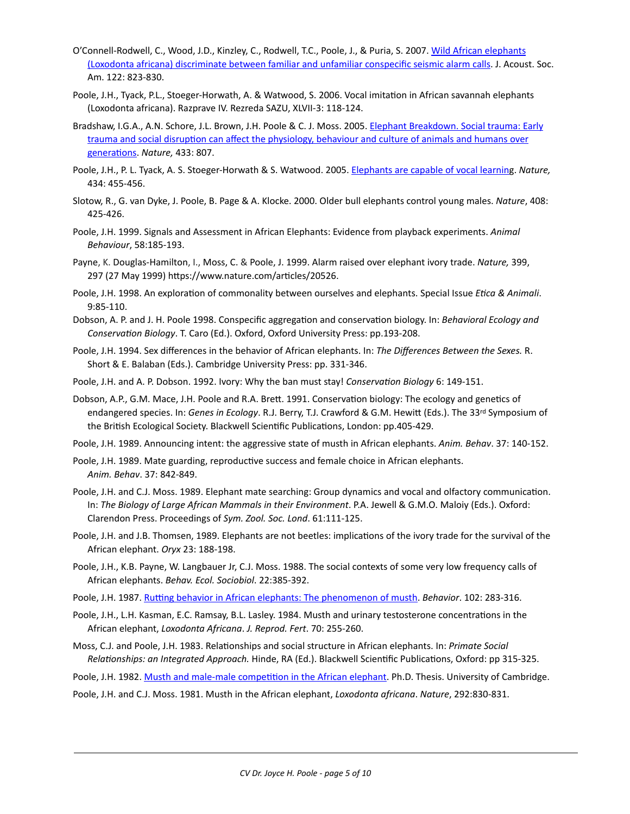- O'Connell-Rodwell, C., Wood, J.D., Kinzley, C., Rodwell, T.C., Poole, J., & Puria, S. 2007. Wild African elephants (Loxodonta africana) discriminate between familiar and unfamiliar conspecific seismic alarm calls. J. Acoust. Soc. Am. 122: 823-830.
- Poole, J.H., Tyack, P.L., Stoeger-Horwath, A. & Watwood, S. 2006. Vocal imitation in African savannah elephants (Loxodonta africana). Razprave IV. Rezreda SAZU, XLVII-3: 118-124.
- Bradshaw, I.G.A., A.N. Schore, J.L. Brown, J.H. Poole & C. J. Moss. 2005. Elephant Breakdown. Social trauma: Early trauma and social disruption can affect the physiology, behaviour and culture of animals and humans over [generations.](https://www.elephantvoices.org/multimedia-resources/document-download-center/category/69-elephantvoices-publications.html?download=59:bradshaw-et-al-2005-elephant-breakdown) Nature, 433: 807.
- Poole, J.H., P. L. Tyack, A. S. Stoeger-Horwath & S. Watwood. 2005. Elephants are capable of vocal learning. Nature, 434: 455-456.
- Slotow, R., G. van Dyke, J. Poole, B. Page & A. Klocke. 2000. Older bull elephants control young males. *Nature*, 408: 425-426.
- Poole, J.H. 1999. Signals and Assessment in African Elephants: Evidence from playback experiments. Animal *Behaviour*, 58:185-193.
- Payne, K. Douglas-Hamilton, I., Moss, C. & Poole, J. 1999. Alarm raised over elephant ivory trade. *Nature*, 399, 297 (27 May 1999) https://www.nature.com/articles/20526.
- Poole, J.H. 1998. An exploration of commonality between ourselves and elephants. Special Issue *Etica & Animali*. 9:85-110.
- Dobson, A. P. and J. H. Poole 1998. Conspecific aggregation and conservation biology. In: Behavioral Ecology and *Conservation Biology*. T. Caro (Ed.). Oxford, Oxford University Press: pp.193-208.
- Poole, J.H. 1994. Sex differences in the behavior of African elephants. In: The Differences Between the Sexes. R. Short & E. Balaban (Eds.). Cambridge University Press: pp. 331-346.
- Poole, J.H. and A. P. Dobson. 1992. Ivory: Why the ban must stay! *Conservation Biology* 6: 149-151.
- Dobson, A.P., G.M. Mace, J.H. Poole and R.A. Brett. 1991. Conservation biology: The ecology and genetics of endangered species. In: *Genes in Ecology*. R.J. Berry, T.J. Crawford & G.M. Hewitt (Eds.). The 33rd Symposium of the British Ecological Society. Blackwell Scientific Publications, London: pp.405-429.

Poole, J.H. 1989. Announcing intent: the aggressive state of musth in African elephants. Anim. Behav. 37: 140-152.

- Poole, J.H. 1989. Mate guarding, reproductive success and female choice in African elephants. *Anim. Behav*. 37: 842-849.
- Poole, J.H. and C.J. Moss. 1989. Elephant mate searching: Group dynamics and vocal and olfactory communication. In: The Biology of Large African Mammals in their Environment. P.A. Jewell & G.M.O. Maloiy (Eds.). Oxford: Clarendon Press. Proceedings of *Sym. Zool. Soc. Lond*. 61:111-125.
- Poole, J.H. and J.B. Thomsen, 1989. Elephants are not beetles: implications of the ivory trade for the survival of the African elephant. Oryx 23: 188-198.
- Poole, J.H., K.B. Payne, W. Langbauer Jr, C.J. Moss. 1988. The social contexts of some very low frequency calls of African elephants. *Behav. Ecol. Sociobiol*. 22:385-392.
- Poole, J.H. 1987. Rutting behavior in African elephants: The phenomenon of musth. Behavior. 102: 283-316.
- Poole, J.H., L.H. Kasman, E.C. Ramsay, B.L. Lasley. 1984. Musth and urinary testosterone concentrations in the African elephant, *Loxodonta Africana*. *J. Reprod. Fert*. 70: 255-260.
- Moss, C.J. and Poole, J.H. 1983. Relationships and social structure in African elephants. In: Primate Social *Relationships: an Integrated Approach.* Hinde, RA (Ed.). Blackwell Scientific Publications, Oxford: pp 315-325.
- Poole, J.H. 1982. Musth and male-male competition in the African elephant. Ph.D. Thesis. University of Cambridge.
- Poole, J.H. and C.J. Moss. 1981. Musth in the African elephant, *Loxodonta africana*. Nature, 292:830-831.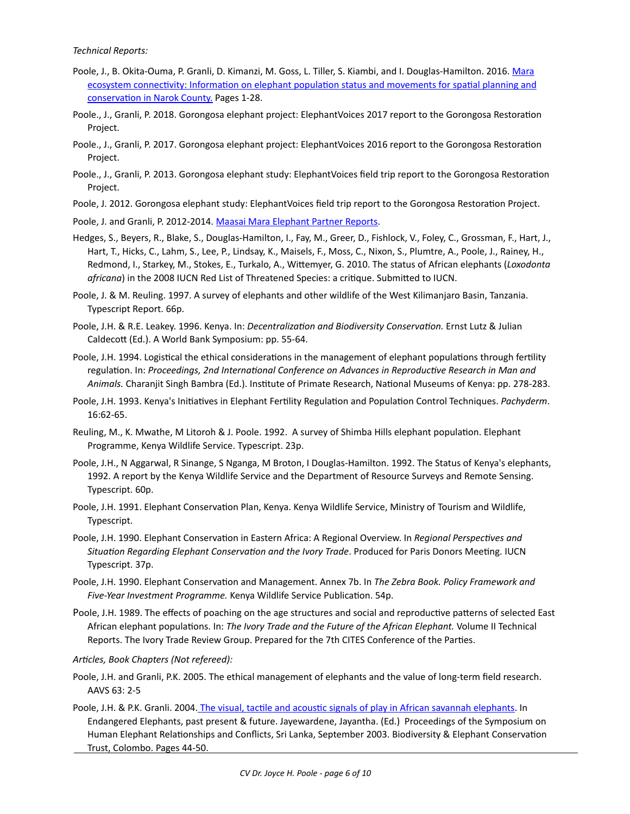*Technical Reports:*

- Poole, J., B. Okita-Ouma, P. Granli, D. Kimanzi, M. Goss, L. Tiller, S. Kiambi, and I. Douglas-Hamilton. 2016. Mara ecosystem connectivity: Information on elephant population status and movements for spatial planning and conservation in Narok County. Pages 1-28.
- Poole., J., Granli, P. 2018. Gorongosa elephant project: ElephantVoices 2017 report to the Gorongosa Restoration Project.
- Poole., J., Granli, P. 2017. Gorongosa elephant project: ElephantVoices 2016 report to the Gorongosa Restoration Project.
- Poole., J., Granli, P. 2013. Gorongosa elephant study: ElephantVoices field trip report to the Gorongosa Restoration Project.
- Poole, J. 2012. Gorongosa elephant study: ElephantVoices field trip report to the Gorongosa Restoration Project.

Poole, J. and Granli, P. 2012-2014. Maasai Mara Elephant Partner Reports.

- Hedges, S., Beyers, R., Blake, S., Douglas-Hamilton, I., Fay, M., Greer, D., Fishlock, V., Foley, C., Grossman, F., Hart, J., Hart, T., Hicks, C., Lahm, S., Lee, P., Lindsay, K., Maisels, F., Moss, C., Nixon, S., Plumtre, A., Poole, J., Rainey, H., Redmond, I., Starkey, M., Stokes, E., Turkalo, A., Wittemyer, G. 2010. The status of African elephants (Loxodonta *africana*) in the 2008 IUCN Red List of Threatened Species: a critique. Submitted to IUCN.
- Poole, J. & M. Reuling. 1997. A survey of elephants and other wildlife of the West Kilimanjaro Basin, Tanzania. Typescript Report. 66p.
- Poole, J.H. & R.E. Leakey. 1996. Kenya. In: *Decentralization and Biodiversity Conservation.* Ernst Lutz & Julian Caldecott (Ed.). A World Bank Symposium: pp. 55-64.
- Poole, J.H. 1994. Logistical the ethical considerations in the management of elephant populations through fertility regulation. In: Proceedings, 2nd International Conference on Advances in Reproductive Research in Man and Animals. Charanjit Singh Bambra (Ed.). Institute of Primate Research, National Museums of Kenya: pp. 278-283.
- Poole, J.H. 1993. Kenya's Initiatives in Elephant Fertility Regulation and Population Control Techniques. *Pachyderm*. 16:62-65.
- Reuling, M., K. Mwathe, M Litoroh & J. Poole. 1992. A survey of Shimba Hills elephant population. Elephant Programme, Kenya Wildlife Service. Typescript. 23p.
- Poole, J.H., N Aggarwal, R Sinange, S Nganga, M Broton, I Douglas-Hamilton. 1992. The Status of Kenya's elephants, 1992. A report by the Kenya Wildlife Service and the Department of Resource Surveys and Remote Sensing. Typescript. 60p.
- Poole, J.H. 1991. Elephant Conservation Plan, Kenya. Kenya Wildlife Service, Ministry of Tourism and Wildlife, Typescript.
- Poole, J.H. 1990. Elephant Conservation in Eastern Africa: A Regional Overview. In *Regional Perspectives and* Situation Regarding Elephant Conservation and the Ivory Trade. Produced for Paris Donors Meeting. IUCN Typescript. 37p.
- Poole, J.H. 1990. Elephant Conservation and Management. Annex 7b. In The Zebra Book. Policy Framework and Five-Year Investment Programme. Kenya Wildlife Service Publication. 54p.
- Poole, J.H. 1989. The effects of poaching on the age structures and social and reproductive patterns of selected East African elephant populations. In: The Ivory Trade and the Future of the African Elephant. Volume II Technical Reports. The Ivory Trade Review Group. Prepared for the 7th CITES Conference of the Parties.
- Articles, Book Chapters (Not refereed):
- Poole, J.H. and Granli, P.K. 2005. The ethical management of elephants and the value of long-term field research. AAVS 63: 2-5
- Poole, J.H. & P.K. Granli. 2004. The visual, tactile and acoustic signals of play in African savannah elephants. In Endangered Elephants, past present & future. Jayewardene, Jayantha. (Ed.) Proceedings of the Symposium on Human Elephant Relationships and Conflicts, Sri Lanka, September 2003. Biodiversity & Elephant Conservation Trust, Colombo. Pages 44-50.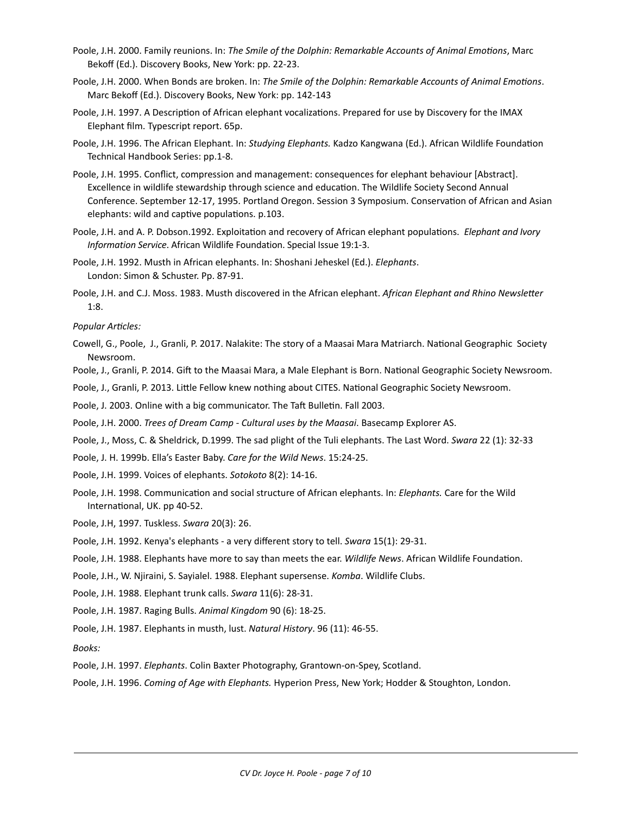- Poole, J.H. 2000. Family reunions. In: The Smile of the Dolphin: Remarkable Accounts of Animal Emotions, Marc Bekoff (Ed.). Discovery Books, New York: pp. 22-23.
- Poole, J.H. 2000. When Bonds are broken. In: The Smile of the Dolphin: Remarkable Accounts of Animal Emotions. Marc Bekoff (Ed.). Discovery Books, New York: pp. 142-143
- Poole, J.H. 1997. A Description of African elephant vocalizations. Prepared for use by Discovery for the IMAX Elephant film. Typescript report. 65p.
- Poole, J.H. 1996. The African Elephant. In: *Studying Elephants.* Kadzo Kangwana (Ed.). African Wildlife Foundation Technical Handbook Series: pp.1-8.
- Poole, J.H. 1995. Conflict, compression and management: consequences for elephant behaviour [Abstract]. Excellence in wildlife stewardship through science and education. The Wildlife Society Second Annual Conference. September 12-17, 1995. Portland Oregon. Session 3 Symposium. Conservation of African and Asian elephants: wild and captive populations. p.103.
- Poole, J.H. and A. P. Dobson.1992. Exploitation and recovery of African elephant populations. *Elephant and Ivory Information Service*. African Wildlife Foundation. Special Issue 19:1-3.
- Poole, J.H. 1992. Musth in African elephants. In: Shoshani Jeheskel (Ed.). *Elephants*. London: Simon & Schuster. Pp. 87-91.
- Poole, J.H. and C.J. Moss. 1983. Musth discovered in the African elephant. African Elephant and Rhino Newsletter 1:8.

*Popular Articles:*

- Cowell, G., Poole, J., Granli, P. 2017. Nalakite: The story of a Maasai Mara Matriarch. National Geographic Society Newsroom.
- Poole, J., Granli, P. 2014. Gift to the Maasai Mara, a Male Elephant is Born. National Geographic Society Newsroom.
- Poole, J., Granli, P. 2013. Little Fellow knew nothing about CITES. National Geographic Society Newsroom.
- Poole, J. 2003. Online with a big communicator. The Taft Bulletin. Fall 2003.
- Poole, J.H. 2000. *Trees of Dream Camp Cultural uses by the Maasai*. Basecamp Explorer AS.
- Poole, J., Moss, C. & Sheldrick, D.1999. The sad plight of the Tuli elephants. The Last Word. Swara 22 (1): 32-33
- Poole, J. H. 1999b. Ella's Easter Baby. *Care for the Wild News*. 15:24-25.
- Poole, J.H. 1999. Voices of elephants. *Sotokoto* 8(2): 14-16.
- Poole, J.H. 1998. Communication and social structure of African elephants. In: *Elephants*. Care for the Wild International, UK. pp 40-52.
- Poole, J.H, 1997. Tuskless. Swara 20(3): 26.
- Poole, J.H. 1992. Kenya's elephants a very different story to tell. Swara 15(1): 29-31.
- Poole, J.H. 1988. Elephants have more to say than meets the ear. *Wildlife News*. African Wildlife Foundation.
- Poole, J.H., W. Njiraini, S. Sayialel. 1988. Elephant supersense. *Komba*. Wildlife Clubs.
- Poole, J.H. 1988. Elephant trunk calls. Swara 11(6): 28-31.
- Poole, J.H. 1987. Raging Bulls. Animal Kingdom 90 (6): 18-25.
- Poole, J.H. 1987. Elephants in musth, lust. *Natural History*. 96 (11): 46-55.

*Books:*

- Poole, J.H. 1997. *Elephants*. Colin Baxter Photography, Grantown-on-Spey, Scotland.
- Poole, J.H. 1996. *Coming of Age with Elephants.* Hyperion Press, New York; Hodder & Stoughton, London.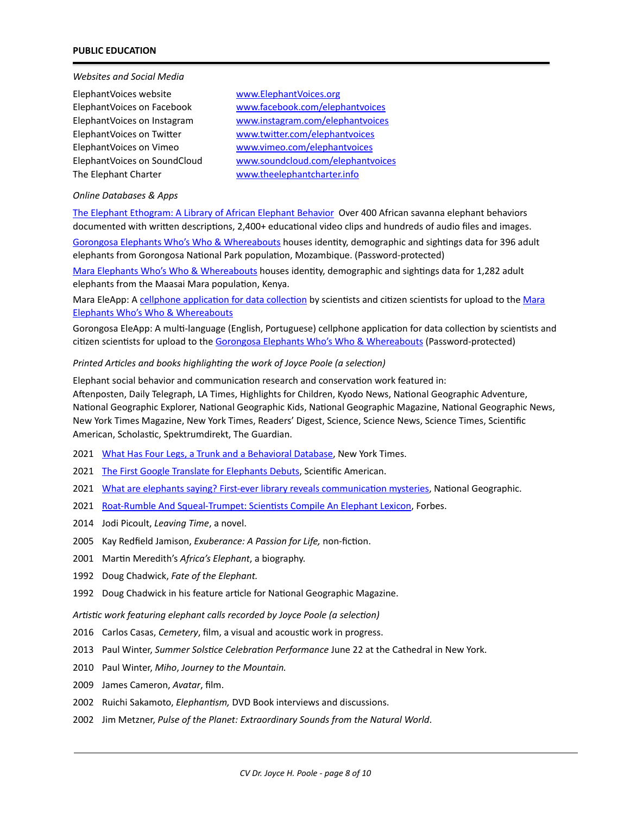### **PUBLIC EDUCATION**

#### *Websites and Social Media*

ElephantVoices website [www.ElephantVoices.org](http://www.ElephantVoices.org) The Elephant Charter **WWW.theelephantcharter.info** 

ElephantVoices on Facebook [www.facebook.com/elephantvoices](http://www.facebook.com/elephantvoices) ElephantVoices on Instagram [www.instagram.com/elephantvoices](http://www.instagram.com/elephantvoices) ElephantVoices on Twitter [www.twitter.com/elephantvoices](http://www.twitter.com/elephantvoices) ElephantVoices on Vimeo **[www.vimeo.com/elephantvoices](http://www.vimeo.com/elephantvoices)** ElephantVoices on SoundCloud [www.soundcloud.com/elephantvoices](http://www.soundcloud.com/elephantvoices)

#### *Online Databases & Apps*

The Elephant Ethogram: A Library of African Elephant Behavior Over 400 African savanna elephant behaviors documented with written descriptions, 2,400+ educational video clips and hundreds of audio files and images. Gorongosa Elephants Who's Who & Whereabouts houses identity, demographic and sightings data for 396 adult elephants from Gorongosa National Park population, Mozambique. (Password-protected)

Mara Elephants Who's Who & Whereabouts houses identity, demographic and sightings data for 1,282 adult elephants from the Maasai Mara population, Kenya.

Mara EleApp: A cellphone application for data collection by scientists and citizen scientists for upload to the Mara Elephants Who's Who & Whereabouts

Gorongosa EleApp: A multi-language (English, Portuguese) cellphone application for data collection by scientists and citizen scientists for upload to the Gorongosa Elephants Who's Who & Whereabouts (Password-protected)

#### *Printed Articles and books highlighting the work of Joyce Poole (a selection)*

Elephant social behavior and communication research and conservation work featured in: Aftenposten, Daily Telegraph, LA Times, Highlights for Children, Kyodo News, National Geographic Adventure, National Geographic Explorer, National Geographic Kids, National Geographic Magazine, National Geographic News, New York Times Magazine, New York Times, Readers' Digest, Science, Science News, Science Times, Scientific American, Scholastic, Spektrumdirekt, The Guardian.

- 2021 What Has Four Legs, a Trunk and a Behavioral Database, New York Times.
- 2021 The First Google Translate for Elephants Debuts, Scientific American.
- 2021 What are elephants saying? First-ever library reveals communication mysteries, National Geographic.
- 2021 Roat-Rumble And Squeal-Trumpet: Scientists Compile An Elephant Lexicon, Forbes.
- 2014 Jodi Picoult, *Leaving Time*, a novel.
- 2005 Kay Redfield Jamison, *Exuberance: A Passion for Life,* non-fiction.
- 2001 Martin Meredith's Africa's Elephant, a biography.
- 1992 Doug Chadwick, Fate of the Elephant.
- 1992 Doug Chadwick in his feature article for National Geographic Magazine.

Artistic work featuring elephant calls recorded by Joyce Poole (a selection)

- 2016 Carlos Casas, *Cemetery*, film, a visual and acoustic work in progress.
- 2013 Paul Winter, Summer Solstice Celebration Performance June 22 at the Cathedral in New York.
- 2010 Paul Winter, *Miho*, Journey to the Mountain.
- 2009 James Cameron, *Avatar*, film.
- 2002 Ruichi Sakamoto, *Elephantism*, DVD Book interviews and discussions.
- 2002 Jim Metzner, Pulse of the Planet: Extraordinary Sounds from the Natural World.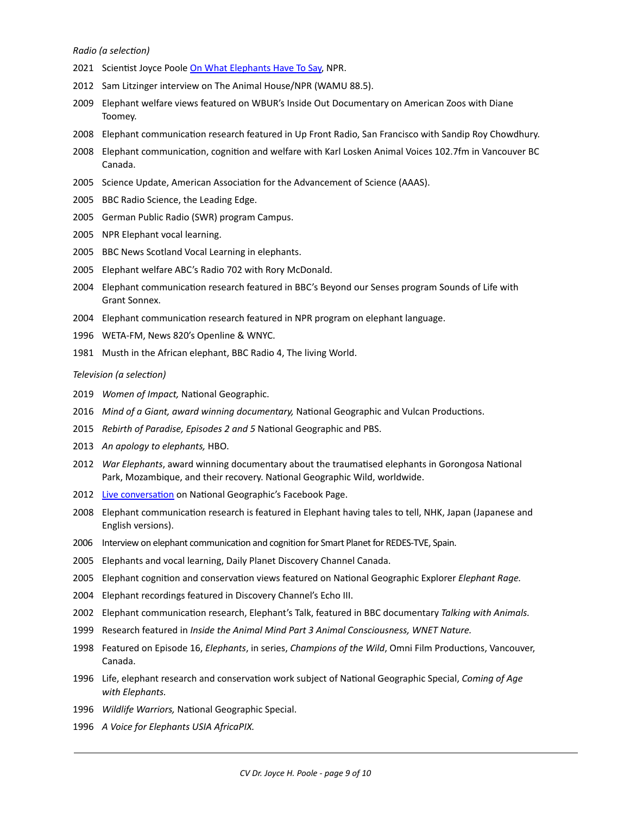*Radio (a selection)*

- 2021 Scientist Joyce Poole On What Elephants Have To Say, NPR.
- 2012 Sam Litzinger interview on The Animal House/NPR (WAMU 88.5).
- 2009 Elephant welfare views featured on WBUR's Inside Out Documentary on American Zoos with Diane Toomey.
- 2008 Elephant communication research featured in Up Front Radio, San Francisco with Sandip Roy Chowdhury.
- 2008 Elephant communication, cognition and welfare with Karl Losken Animal Voices 102.7fm in Vancouver BC Canada.
- 2005 Science Update, American Association for the Advancement of Science (AAAS).
- 2005 BBC Radio Science, the Leading Edge.
- 2005 German Public Radio (SWR) program Campus.
- 2005 NPR Elephant vocal learning.
- 2005 BBC News Scotland Vocal Learning in elephants.
- 2005 Elephant welfare ABC's Radio 702 with Rory McDonald.
- 2004 Elephant communication research featured in BBC's Beyond our Senses program Sounds of Life with Grant Sonnex.
- 2004 Elephant communication research featured in NPR program on elephant language.
- 1996 WETA-FM, News 820's Openline & WNYC.
- 1981 Musth in the African elephant, BBC Radio 4, The living World.

*Television (a selection)*

- 2019 *Women of Impact, National Geographic.*
- 2016 Mind of a Giant, award winning documentary, National Geographic and Vulcan Productions.
- 2015 Rebirth of Paradise, Episodes 2 and 5 National Geographic and PBS.
- 2013 An apology to elephants, HBO.
- 2012 *War Elephants*, award winning documentary about the traumatised elephants in Gorongosa National Park, Mozambique, and their recovery. National Geographic Wild, worldwide.
- 2012 Live conversation on National Geographic's Facebook Page.
- 2008 Elephant communication research is featured in Elephant having tales to tell, NHK, Japan (Japanese and English versions).
- 2006 Interview on elephant communication and cognition for Smart Planet for REDES-TVE, Spain.
- 2005 Elephants and vocal learning, Daily Planet Discovery Channel Canada.
- 2005 Elephant cognition and conservation views featured on National Geographic Explorer *Elephant Rage.*
- 2004 Elephant recordings featured in Discovery Channel's Echo III.
- 2002 Elephant communication research, Elephant's Talk, featured in BBC documentary *Talking with Animals.*
- 1999 Research featured in *Inside the Animal Mind Part 3 Animal Consciousness, WNET Nature.*
- 1998 Featured on Episode 16, *Elephants*, in series, *Champions of the Wild*, Omni Film Productions, Vancouver, Canada.
- 1996 Life, elephant research and conservation work subject of National Geographic Special, *Coming of Age with Elephants.*
- 1996 *Wildlife Warriors*, National Geographic Special.
- 1996 A Voice for Elephants USIA AfricaPIX.